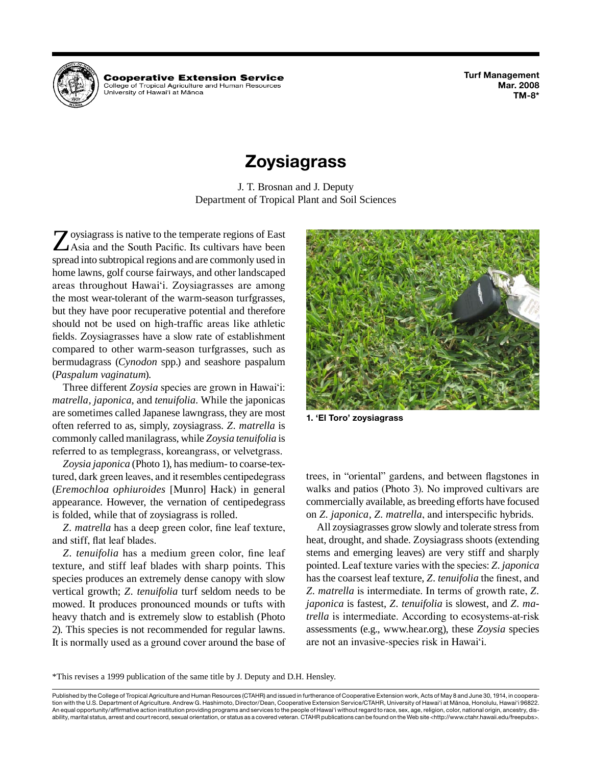

**Cooperative Extension Service** College of Tropical Agriculture and Human Resources University of Hawai'i at Mānoa

**Turf Management Mar. 2008 TM-8\***

# **Zoysiagrass**

J. T. Brosnan and J. Deputy Department of Tropical Plant and Soil Sciences

Z oysiagrass is native to the temperate regions of East<br>Asia and the South Pacific. Its cultivars have been<br>cancel into subtravised regions and are asymmetry used in spread into subtropical regions and are commonly used in home lawns, golf course fairways, and other landscaped areas throughout Hawai'i. Zoysiagrasses are among the most wear-tolerant of the warm-season turfgrasses, but they have poor recuperative potential and therefore should not be used on high-traffic areas like athletic fields. Zoysiagrasses have a slow rate of establishment compared to other warm-season turfgrasses, such as bermudagrass (*Cynodon* spp.) and seashore paspalum (*Paspalum vaginatum*).

Three different *Zoysia* species are grown in Hawai'i: *matrella, japonica*, and *tenuifolia*. While the japonicas are sometimes called Japanese lawngrass, they are most often referred to as, simply, zoysiagrass. *Z. matrella* is commonly called manilagrass, while *Zoysia tenuifolia* is referred to as templegrass, koreangrass, or velvetgrass.

*Zoysia japonica* (Photo 1), has medium- to coarse-textured, dark green leaves, and it resembles centipedegrass (*Eremochloa ophiuroides* [Munro] Hack) in general appearance. However, the vernation of centipedegrass is folded, while that of zoysiagrass is rolled.

*Z. matrella* has a deep green color, fine leaf texture, and stiff, flat leaf blades.

*Z. tenuifolia* has a medium green color, fine leaf texture, and stiff leaf blades with sharp points. This species produces an extremely dense canopy with slow vertical growth; *Z. tenuifolia* turf seldom needs to be mowed. It produces pronounced mounds or tufts with heavy thatch and is extremely slow to establish (Photo 2). This species is not recommended for regular lawns. It is normally used as a ground cover around the base of



**1. 'El Toro' zoysiagrass**

trees, in "oriental" gardens, and between flagstones in walks and patios (Photo 3). No improved cultivars are commercially available, as breeding efforts have focused on *Z. japonica, Z. matrella*, and interspecific hybrids*.*

All zoysiagrasses grow slowly and tolerate stress from heat, drought, and shade. Zoysiagrass shoots (extending stems and emerging leaves) are very stiff and sharply pointed. Leaf texture varies with the species: *Z. japonica* has the coarsest leaf texture, *Z. tenuifolia* the finest, and *Z. matrella* is intermediate. In terms of growth rate, *Z. japonica* is fastest, *Z. tenuifolia* is slowest, and *Z. matrella* is intermediate. According to ecosystems-at-risk assessments (e.g., www.hear.org), these *Zoysia* species are not an invasive-species risk in Hawai'i.

\*This revises a 1999 publication of the same title by J. Deputy and D.H. Hensley.

Published by the College of Tropical Agriculture and Human Resources (CTAHR) and issued in furtherance of Cooperative Extension work, Acts of May 8 and June 30, 1914, in cooperation with the U.S. Department of Agriculture. Andrew G. Hashimoto, Director/Dean, Cooperative Extension Service/CTAHR, University of Hawai'i at Mänoa, Honolulu, Hawai'i 96822. An equal opportunity/affirmative action institution providing programs and services to the people of Hawai'i without regard to race, sex, age, religion, color, national origin, ancestry, disability, marital status, arrest and court record, sexual orientation, or status as a covered veteran. CTAHR publications can be found on the Web site <http://www.ctahr.hawaii.edu/freepubs>.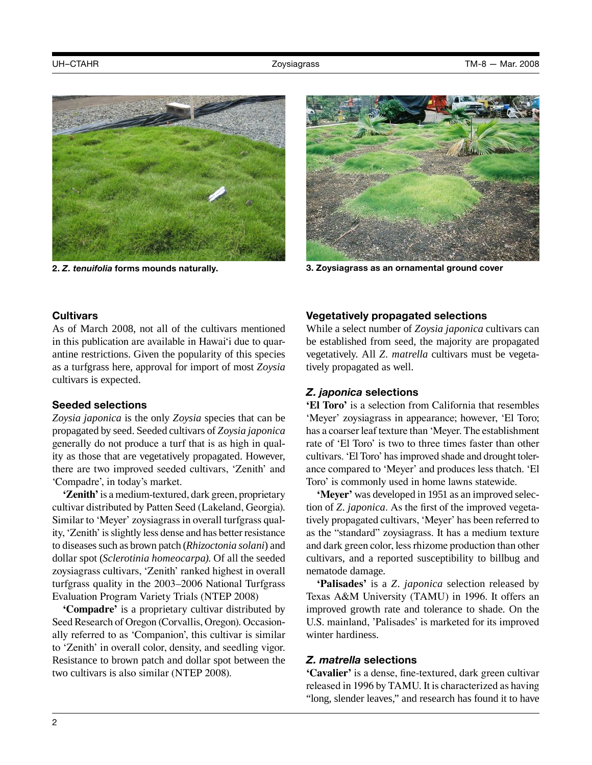



**2.** *Z. tenuifolia* **forms mounds naturally. 3. Zoysiagrass as an ornamental ground cover**

### **Cultivars**

As of March 2008, not all of the cultivars mentioned in this publication are available in Hawai'i due to quarantine restrictions. Given the popularity of this species as a turfgrass here, approval for import of most *Zoysia* cultivars is expected.

## **Seeded selections**

*Zoysia japonica* is the only *Zoysia* species that can be propagated by seed. Seeded cultivars of *Zoysia japonica* generally do not produce a turf that is as high in quality as those that are vegetatively propagated. However, there are two improved seeded cultivars, 'Zenith' and 'Compadre', in today's market.

**'Zenith'**is a medium-textured, dark green, proprietary cultivar distributed by Patten Seed (Lakeland, Georgia). Similar to 'Meyer' zoysiagrass in overall turfgrass quality, 'Zenith' is slightly less dense and has better resistance to diseases such as brown patch (*Rhizoctonia solani*) and dollar spot (*Sclerotinia homeocarpa)*. Of all the seeded zoysiagrass cultivars, 'Zenith' ranked highest in overall turfgrass quality in the 2003–2006 National Turfgrass Evaluation Program Variety Trials (NTEP 2008)

**'Compadre'** is a proprietary cultivar distributed by Seed Research of Oregon (Corvallis, Oregon). Occasionally referred to as 'Companion', this cultivar is similar to 'Zenith' in overall color, density, and seedling vigor. Resistance to brown patch and dollar spot between the two cultivars is also similar (NTEP 2008).

## **Vegetatively propagated selections**

While a select number of *Zoysia japonica* cultivars can be established from seed, the majority are propagated vegetatively. All *Z. matrella* cultivars must be vegetatively propagated as well.

## *Z. japonica* **selections**

**'El Toro'** is a selection from California that resembles 'Meyer' zoysiagrass in appearance; however, 'El Toro; has a coarser leaf texture than 'Meyer. The establishment rate of 'El Toro' is two to three times faster than other cultivars. 'El Toro' has improved shade and drought tolerance compared to 'Meyer' and produces less thatch. 'El Toro' is commonly used in home lawns statewide.

**'Meyer'** was developed in 1951 as an improved selection of *Z. japonica*. As the first of the improved vegetatively propagated cultivars, 'Meyer' has been referred to as the "standard" zoysiagrass. It has a medium texture and dark green color, less rhizome production than other cultivars, and a reported susceptibility to billbug and nematode damage.

**'Palisades'** is a *Z. japonica* selection released by Texas A&M University (TAMU) in 1996. It offers an improved growth rate and tolerance to shade. On the U.S. mainland, 'Palisades' is marketed for its improved winter hardiness.

## *Z. matrella* **selections**

**'Cavalier'** is a dense, fine-textured, dark green cultivar released in 1996 by TAMU. It is characterized as having "long, slender leaves," and research has found it to have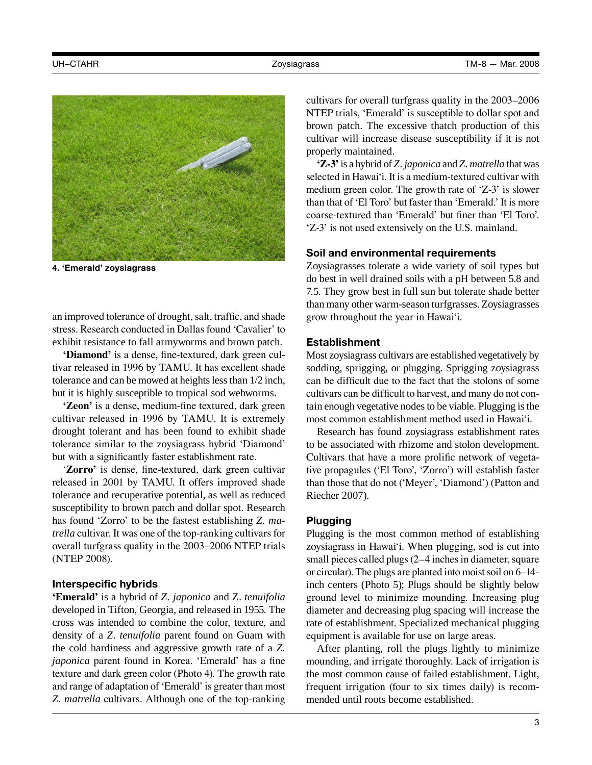

**4. 'Emerald' zoysiagrass** 

an improved tolerance of drought, salt, traffic, and shade stress. Research conducted in Dallas found 'Cavalier' to exhibit resistance to fall armyworms and brown patch.

**'Diamond'** is a dense, fine-textured, dark green cultivar released in 1996 by TAMU. It has excellent shade tolerance and can be mowed at heights less than 1/2 inch, but it is highly susceptible to tropical sod webworms.

**'Zeon'** is a dense, medium-fine textured, dark green cultivar released in 1996 by TAMU. It is extremely drought tolerant and has been found to exhibit shade tolerance similar to the zoysiagrass hybrid 'Diamond' but with a significantly faster establishment rate.

'**Zorro'** is dense, fine-textured, dark green cultivar released in 2001 by TAMU. It offers improved shade tolerance and recuperative potential, as well as reduced susceptibility to brown patch and dollar spot. Research has found 'Zorro' to be the fastest establishing *Z. matrella* cultivar. It was one of the top-ranking cultivars for overall turfgrass quality in the 2003–2006 NTEP trials (NTEP 2008).

#### **Interspecific hybrids**

**'Emerald'** is a hybrid of *Z. japonica* and Z. *tenuifolia*  developed in Tifton, Georgia, and released in 1955. The cross was intended to combine the color, texture, and density of a *Z. tenuifolia* parent found on Guam with the cold hardiness and aggressive growth rate of a *Z. japonica* parent found in Korea. 'Emerald' has a fine texture and dark green color (Photo 4). The growth rate and range of adaptation of 'Emerald' is greater than most *Z. matrella* cultivars. Although one of the top-ranking cultivars for overall turfgrass quality in the 2003–2006 NTEP trials, 'Emerald' is susceptible to dollar spot and brown patch. The excessive thatch production of this cultivar will increase disease susceptibility if it is not properly maintained.

**'Z-3'**is a hybrid of *Z. japonica* and *Z. matrella* that was selected in Hawai'i. It is a medium-textured cultivar with medium green color. The growth rate of 'Z-3' is slower than that of 'El Toro' but faster than 'Emerald.' It is more coarse-textured than 'Emerald' but finer than 'El Toro'. 'Z-3' is not used extensively on the U.S. mainland.

#### **Soil and environmental requirements**

Zoysiagrasses tolerate a wide variety of soil types but do best in well drained soils with a pH between 5.8 and 7.5. They grow best in full sun but tolerate shade better than many other warm-season turfgrasses. Zoysiagrasses grow throughout the year in Hawai'i.

#### **Establishment**

Most zoysiagrass cultivars are established vegetatively by sodding, sprigging, or plugging. Sprigging zoysiagrass can be difficult due to the fact that the stolons of some cultivars can be difficult to harvest, and many do not contain enough vegetative nodes to be viable. Plugging is the most common establishment method used in Hawai'i.

Research has found zoysiagrass establishment rates to be associated with rhizome and stolon development. Cultivars that have a more prolific network of vegetative propagules ('El Toro', 'Zorro') will establish faster than those that do not ('Meyer', 'Diamond') (Patton and Riecher 2007).

#### **Plugging**

Plugging is the most common method of establishing zoysiagrass in Hawai'i. When plugging, sod is cut into small pieces called plugs (2–4 inches in diameter, square or circular). The plugs are planted into moist soil on 6–14 inch centers (Photo 5); Plugs should be slightly below ground level to minimize mounding. Increasing plug diameter and decreasing plug spacing will increase the rate of establishment. Specialized mechanical plugging equipment is available for use on large areas.

After planting, roll the plugs lightly to minimize mounding, and irrigate thoroughly. Lack of irrigation is the most common cause of failed establishment. Light, frequent irrigation (four to six times daily) is recommended until roots become established.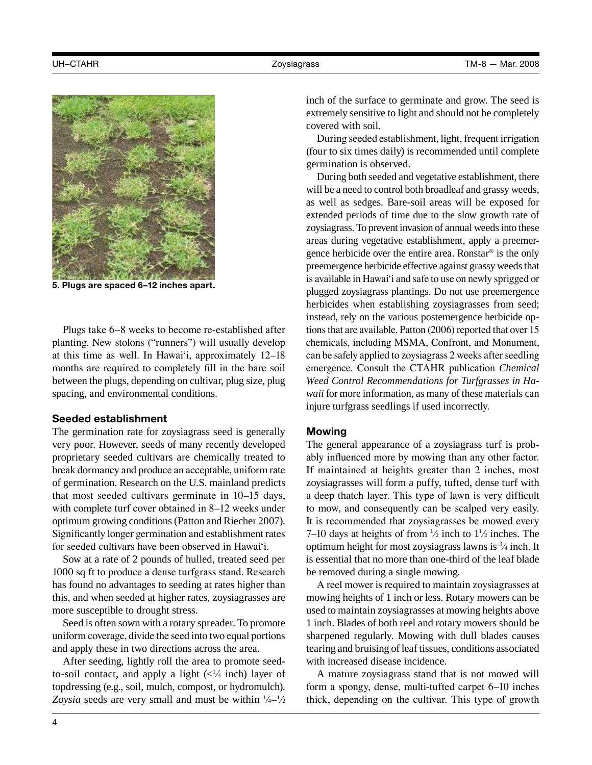

**5. Plugs are spaced 6–12 inches apart.** 

Plugs take 6–8 weeks to become re-established after planting. New stolons ("runners") will usually develop at this time as well. In Hawai'i, approximately 12–18 months are required to completely fill in the bare soil between the plugs, depending on cultivar, plug size, plug spacing, and environmental conditions.

## **Seeded establishment**

The germination rate for zoysiagrass seed is generally very poor. However, seeds of many recently developed proprietary seeded cultivars are chemically treated to break dormancy and produce an acceptable, uniform rate of germination. Research on the U.S. mainland predicts that most seeded cultivars germinate in 10–15 days, with complete turf cover obtained in 8–12 weeks under optimum growing conditions (Patton and Riecher 2007). Significantly longer germination and establishment rates for seeded cultivars have been observed in Hawai'i.

Sow at a rate of 2 pounds of hulled, treated seed per 1000 sq ft to produce a dense turfgrass stand. Research has found no advantages to seeding at rates higher than this, and when seeded at higher rates, zoysiagrasses are more susceptible to drought stress.

Seed is often sown with a rotary spreader. To promote uniform coverage, divide the seed into two equal portions and apply these in two directions across the area.

After seeding, lightly roll the area to promote seedto-soil contact, and apply a light  $\left(\frac{1}{4} \text{ inch}\right)$  layer of topdressing (e.g., soil, mulch, compost, or hydromulch). Zoysia seeds are very small and must be within  $\frac{1}{4} - \frac{1}{2}$ 

inch of the surface to germinate and grow. The seed is extremely sensitive to light and should not be completely covered with soil.

During seeded establishment, light, frequent irrigation (four to six times daily) is recommended until complete germination is observed.

During both seeded and vegetative establishment, there will be a need to control both broadleaf and grassy weeds, as well as sedges. Bare-soil areas will be exposed for extended periods of time due to the slow growth rate of zoysiagrass. To prevent invasion of annual weeds into these areas during vegetative establishment, apply a preemergence herbicide over the entire area. Ronstar® is the only preemergence herbicide effective against grassy weeds that is available in Hawai'i and safe to use on newly sprigged or plugged zoysiagrass plantings. Do not use preemergence herbicides when establishing zoysiagrasses from seed; instead, rely on the various postemergence herbicide options that are available. Patton (2006) reported that over 15 chemicals, including MSMA, Confront, and Monument, can be safely applied to zoysiagrass 2 weeks after seedling emergence. Consult the CTAHR publication *Chemical Weed Control Recommendations for Turfgrasses in Hawaii* for more information, as many of these materials can injure turfgrass seedlings if used incorrectly.

#### **Mowing**

The general appearance of a zoysiagrass turf is probably influenced more by mowing than any other factor. If maintained at heights greater than 2 inches, most zoysiagrasses will form a puffy, tufted, dense turf with a deep thatch layer. This type of lawn is very difficult to mow, and consequently can be scalped very easily. It is recommended that zoysiagrasses be mowed every 7–10 days at heights of from  $\frac{1}{2}$  inch to  $1\frac{1}{2}$  inches. The optimum height for most zoysiagrass lawns is <sup>3</sup> ⁄4 inch. It is essential that no more than one-third of the leaf blade be removed during a single mowing.

A reel mower is required to maintain zoysiagrasses at mowing heights of 1 inch or less. Rotary mowers can be used to maintain zoysiagrasses at mowing heights above 1 inch. Blades of both reel and rotary mowers should be sharpened regularly. Mowing with dull blades causes tearing and bruising of leaf tissues, conditions associated with increased disease incidence.

A mature zoysiagrass stand that is not mowed will form a spongy, dense, multi-tufted carpet 6–10 inches thick, depending on the cultivar. This type of growth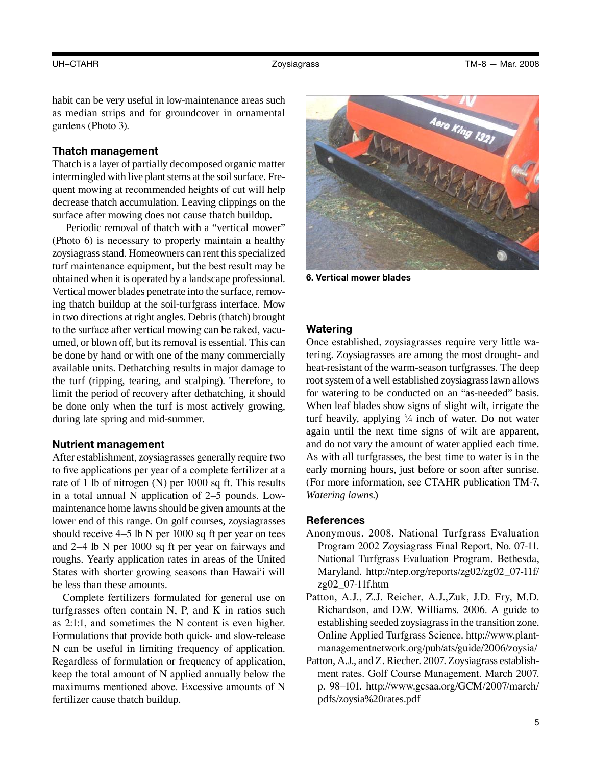habit can be very useful in low-maintenance areas such as median strips and for groundcover in ornamental gardens (Photo 3).

#### **Thatch management**

Thatch is a layer of partially decomposed organic matter intermingled with live plant stems at the soil surface. Frequent mowing at recommended heights of cut will help decrease thatch accumulation. Leaving clippings on the surface after mowing does not cause thatch buildup.

Periodic removal of thatch with a "vertical mower" (Photo 6) is necessary to properly maintain a healthy zoysiagrass stand. Homeowners can rent this specialized turf maintenance equipment, but the best result may be obtained when it is operated by a landscape professional. Vertical mower blades penetrate into the surface, removing thatch buildup at the soil-turfgrass interface. Mow in two directions at right angles. Debris (thatch) brought to the surface after vertical mowing can be raked, vacuumed, or blown off, but its removal is essential. This can be done by hand or with one of the many commercially available units. Dethatching results in major damage to the turf (ripping, tearing, and scalping). Therefore, to limit the period of recovery after dethatching, it should be done only when the turf is most actively growing, during late spring and mid-summer.

#### **Nutrient management**

After establishment, zoysiagrasses generally require two to five applications per year of a complete fertilizer at a rate of 1 lb of nitrogen (N) per 1000 sq ft. This results in a total annual N application of 2–5 pounds. Lowmaintenance home lawns should be given amounts at the lower end of this range. On golf courses, zoysiagrasses should receive 4–5 lb N per 1000 sq ft per year on tees and 2–4 lb N per 1000 sq ft per year on fairways and roughs. Yearly application rates in areas of the United States with shorter growing seasons than Hawai'i will be less than these amounts.

Complete fertilizers formulated for general use on turfgrasses often contain N, P, and K in ratios such as 2:1:1, and sometimes the N content is even higher. Formulations that provide both quick- and slow-release N can be useful in limiting frequency of application. Regardless of formulation or frequency of application, keep the total amount of N applied annually below the maximums mentioned above. Excessive amounts of N fertilizer cause thatch buildup.



**6. Vertical mower blades**

#### **Watering**

Once established, zoysiagrasses require very little watering. Zoysiagrasses are among the most drought- and heat-resistant of the warm-season turfgrasses. The deep root system of a well established zoysiagrass lawn allows for watering to be conducted on an "as-needed" basis. When leaf blades show signs of slight wilt, irrigate the turf heavily, applying  $\frac{3}{4}$  inch of water. Do not water again until the next time signs of wilt are apparent, and do not vary the amount of water applied each time. As with all turfgrasses, the best time to water is in the early morning hours, just before or soon after sunrise. (For more information, see CTAHR publication TM-7, *Watering lawns*.)

## **References**

- Anonymous. 2008. National Turfgrass Evaluation Program 2002 Zoysiagrass Final Report, No. 07-11. National Turfgrass Evaluation Program. Bethesda, Maryland. http://ntep.org/reports/zg02/zg02\_07-11f/ zg02\_07-11f.htm
- Patton, A.J., Z.J. Reicher, A.J.,Zuk, J.D. Fry, M.D. Richardson, and D.W. Williams. 2006. A guide to establishing seeded zoysiagrass in the transition zone. Online Applied Turfgrass Science. http://www.plantmanagementnetwork.org/pub/ats/guide/2006/zoysia/
- Patton, A.J., and Z. Riecher. 2007. Zoysiagrass establishment rates. Golf Course Management. March 2007. p. 98–101. http://www.gcsaa.org/GCM/2007/march/ pdfs/zoysia%20rates.pdf